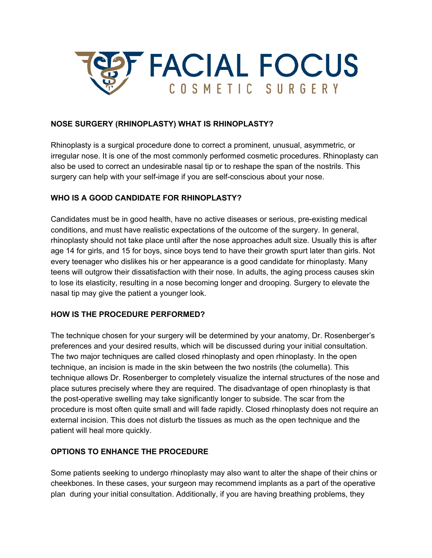

### **NOSE SURGERY (RHINOPLASTY) WHAT IS RHINOPLASTY?**

Rhinoplasty is a surgical procedure done to correct a prominent, unusual, asymmetric, or irregular nose. It is one of the most commonly performed cosmetic procedures. Rhinoplasty can also be used to correct an undesirable nasal tip or to reshape the span of the nostrils. This surgery can help with your self-image if you are self-conscious about your nose.

### **WHO IS A GOOD CANDIDATE FOR RHINOPLASTY?**

Candidates must be in good health, have no active diseases or serious, pre-existing medical conditions, and must have realistic expectations of the outcome of the surgery. In general, rhinoplasty should not take place until after the nose approaches adult size. Usually this is after age 14 for girls, and 15 for boys, since boys tend to have their growth spurt later than girls. Not every teenager who dislikes his or her appearance is a good candidate for rhinoplasty. Many teens will outgrow their dissatisfaction with their nose. In adults, the aging process causes skin to lose its elasticity, resulting in a nose becoming longer and drooping. Surgery to elevate the nasal tip may give the patient a younger look.

### **HOW IS THE PROCEDURE PERFORMED?**

The technique chosen for your surgery will be determined by your anatomy, Dr. Rosenberger's preferences and your desired results, which will be discussed during your initial consultation. The two major techniques are called closed rhinoplasty and open rhinoplasty. In the open technique, an incision is made in the skin between the two nostrils (the columella). This technique allows Dr. Rosenberger to completely visualize the internal structures of the nose and place sutures precisely where they are required. The disadvantage of open rhinoplasty is that the post-operative swelling may take significantly longer to subside. The scar from the procedure is most often quite small and will fade rapidly. Closed rhinoplasty does not require an external incision. This does not disturb the tissues as much as the open technique and the patient will heal more quickly.

### **OPTIONS TO ENHANCE THE PROCEDURE**

Some patients seeking to undergo rhinoplasty may also want to alter the shape of their chins or cheekbones. In these cases, your surgeon may recommend implants as a part of the operative plan during your initial consultation. Additionally, if you are having breathing problems, they